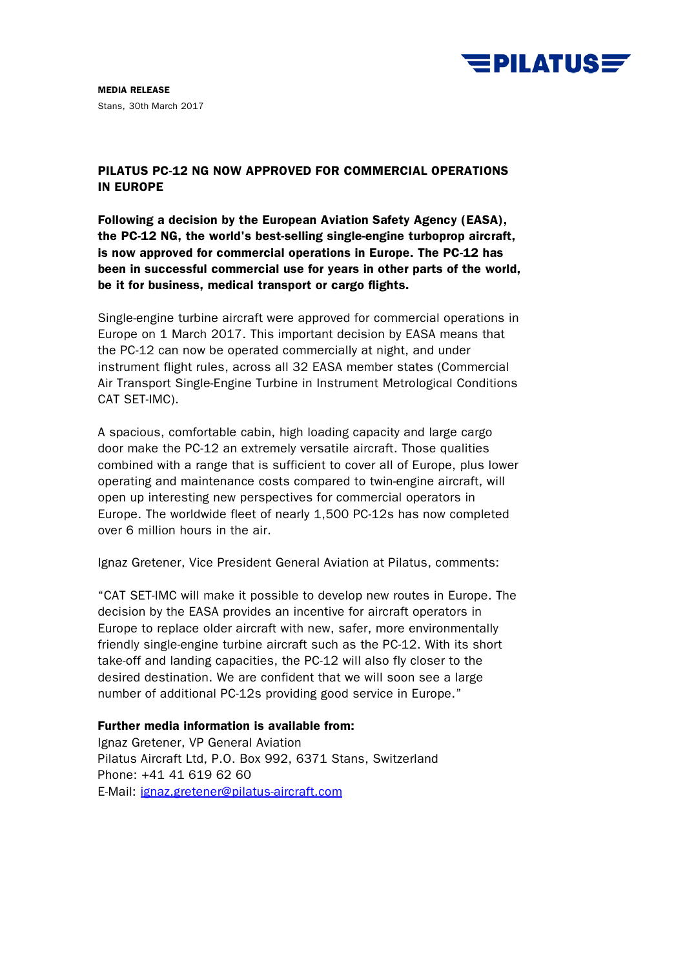

MEDIA RELEASE Stans, 30th March 2017

## PILATUS PC-12 NG NOW APPROVED FOR COMMERCIAL OPERATIONS IN EUROPE

Following a decision by the European Aviation Safety Agency (EASA), the PC-12 NG, the world's best-selling single-engine turboprop aircraft, is now approved for commercial operations in Europe. The PC-12 has been in successful commercial use for years in other parts of the world, be it for business, medical transport or cargo flights.

Single-engine turbine aircraft were approved for commercial operations in Europe on 1 March 2017. This important decision by EASA means that the PC-12 can now be operated commercially at night, and under instrument flight rules, across all 32 EASA member states (Commercial Air Transport Single-Engine Turbine in Instrument Metrological Conditions CAT SET-IMC).

A spacious, comfortable cabin, high loading capacity and large cargo door make the PC-12 an extremely versatile aircraft. Those qualities combined with a range that is sufficient to cover all of Europe, plus lower operating and maintenance costs compared to twin-engine aircraft, will open up interesting new perspectives for commercial operators in Europe. The worldwide fleet of nearly 1,500 PC-12s has now completed over 6 million hours in the air.

Ignaz Gretener, Vice President General Aviation at Pilatus, comments:

"CAT SET-IMC will make it possible to develop new routes in Europe. The decision by the EASA provides an incentive for aircraft operators in Europe to replace older aircraft with new, safer, more environmentally friendly single-engine turbine aircraft such as the PC-12. With its short take-off and landing capacities, the PC-12 will also fly closer to the desired destination. We are confident that we will soon see a large number of additional PC-12s providing good service in Europe."

## Further media information is available from:

Ignaz Gretener, VP General Aviation Pilatus Aircraft Ltd, P.O. Box 992, 6371 Stans, Switzerland Phone: +41 41 619 62 60 E-Mail: [ignaz.gretener@pilatus-aircraft.com](mailto:ignaz.gretener@pilatus-aircraft.com)